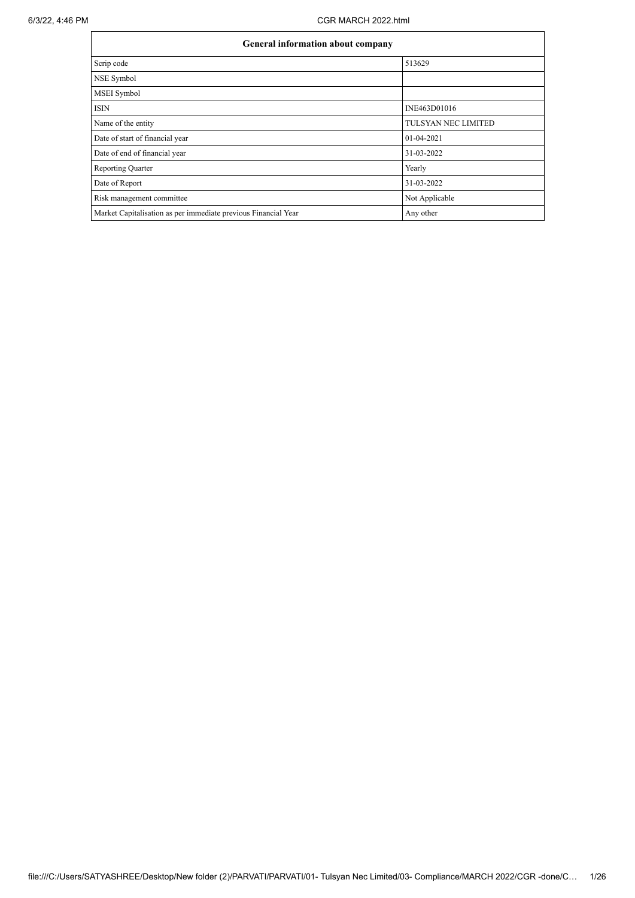| <b>General information about company</b>                       |                     |  |  |  |  |  |
|----------------------------------------------------------------|---------------------|--|--|--|--|--|
| Scrip code                                                     | 513629              |  |  |  |  |  |
| NSE Symbol                                                     |                     |  |  |  |  |  |
| MSEI Symbol                                                    |                     |  |  |  |  |  |
| <b>ISIN</b>                                                    | INE463D01016        |  |  |  |  |  |
| Name of the entity                                             | TULSYAN NEC LIMITED |  |  |  |  |  |
| Date of start of financial year                                | 01-04-2021          |  |  |  |  |  |
| Date of end of financial year                                  | 31-03-2022          |  |  |  |  |  |
| <b>Reporting Quarter</b>                                       | Yearly              |  |  |  |  |  |
| Date of Report                                                 | 31-03-2022          |  |  |  |  |  |
| Risk management committee                                      | Not Applicable      |  |  |  |  |  |
| Market Capitalisation as per immediate previous Financial Year | Any other           |  |  |  |  |  |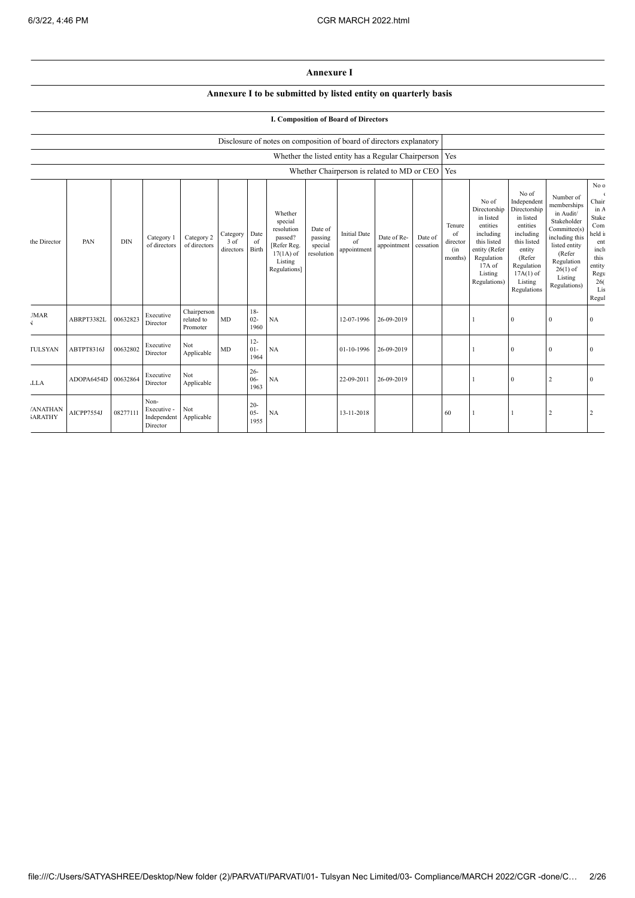## **Annexure I**

## **Annexure I to be submitted by listed entity on quarterly basis**

## **I. Composition of Board of Directors**

|                                  |            |            |                                                |                                       |                               |                          | Disclosure of notes on composition of board of directors explanatory                                 |                                             |                                          |                                                     |                      |                                            |                                                                                                                                                |                                                                                                                                                                      |                                                                                                                                                                          |                                                                                                                                       |  |
|----------------------------------|------------|------------|------------------------------------------------|---------------------------------------|-------------------------------|--------------------------|------------------------------------------------------------------------------------------------------|---------------------------------------------|------------------------------------------|-----------------------------------------------------|----------------------|--------------------------------------------|------------------------------------------------------------------------------------------------------------------------------------------------|----------------------------------------------------------------------------------------------------------------------------------------------------------------------|--------------------------------------------------------------------------------------------------------------------------------------------------------------------------|---------------------------------------------------------------------------------------------------------------------------------------|--|
|                                  |            |            |                                                |                                       |                               |                          |                                                                                                      |                                             |                                          | Whether the listed entity has a Regular Chairperson |                      | Yes                                        |                                                                                                                                                |                                                                                                                                                                      |                                                                                                                                                                          |                                                                                                                                       |  |
|                                  |            |            |                                                |                                       |                               |                          |                                                                                                      |                                             |                                          | Whether Chairperson is related to MD or CEO         |                      | Yes                                        |                                                                                                                                                |                                                                                                                                                                      |                                                                                                                                                                          |                                                                                                                                       |  |
| the Director                     | PAN        | <b>DIN</b> | Category 1<br>of directors                     | Category 2<br>of directors            | Category<br>3 of<br>directors | Date<br>of<br>Birth      | Whether<br>special<br>resolution<br>passed?<br>[Refer Reg.<br>$17(1A)$ of<br>Listing<br>Regulations] | Date of<br>passing<br>special<br>resolution | <b>Initial Date</b><br>of<br>appointment | Date of Re-<br>appointment                          | Date of<br>cessation | Tenure<br>of<br>director<br>(in<br>months) | No of<br>Directorship<br>in listed<br>entities<br>including<br>this listed<br>entity (Refer<br>Regulation<br>17A of<br>Listing<br>Regulations) | No of<br>Independent<br>Directorship<br>in listed<br>entities<br>including<br>this listed<br>entity<br>(Refer<br>Regulation<br>$17A(1)$ of<br>Listing<br>Regulations | Number of<br>memberships<br>in Audit/<br>Stakeholder<br>Committee(s)<br>including this<br>listed entity<br>(Refer<br>Regulation<br>$26(1)$ of<br>Listing<br>Regulations) | No $\ensuremath{\text{o}}$<br>Chair<br>in A<br>Stake<br>Com<br>held i<br>ent<br>inch<br>this<br>entity<br>Regu<br>26(<br>Lis<br>Regul |  |
| <b>JMAR</b>                      | ABRPT3382L | 00632823   | Executive<br>Director                          | Chairperson<br>related to<br>Promoter | MD                            | $18-$<br>$02 -$<br>1960  | NA                                                                                                   |                                             | 12-07-1996                               | 26-09-2019                                          |                      |                                            |                                                                                                                                                | $\overline{0}$                                                                                                                                                       | $\theta$                                                                                                                                                                 | $\Omega$                                                                                                                              |  |
| <b>TULSYAN</b>                   | ABTPT8316J | 00632802   | Executive<br>Director                          | Not<br>Applicable                     | MD                            | $12 -$<br>$01 -$<br>1964 | NA                                                                                                   |                                             | 01-10-1996                               | 26-09-2019                                          |                      |                                            |                                                                                                                                                | $\Omega$                                                                                                                                                             | $\mathbf{0}$                                                                                                                                                             | $\Omega$                                                                                                                              |  |
| <b>LLA</b>                       | ADOPA6454D | 00632864   | Executive<br>Director                          | Not<br>Applicable                     |                               | $26 -$<br>$06 -$<br>1963 | NA                                                                                                   |                                             | 22-09-2011                               | 26-09-2019                                          |                      |                                            |                                                                                                                                                | $\overline{0}$                                                                                                                                                       | 2                                                                                                                                                                        | $\Omega$                                                                                                                              |  |
| <b>ANATHAN</b><br><b>JARATHY</b> | AICPP7554J | 08277111   | Non-<br>Executive -<br>Independent<br>Director | Not<br>Applicable                     |                               | $20 -$<br>$05 -$<br>1955 | NA                                                                                                   |                                             | 13-11-2018                               |                                                     |                      | 60                                         |                                                                                                                                                |                                                                                                                                                                      | $\overline{2}$                                                                                                                                                           |                                                                                                                                       |  |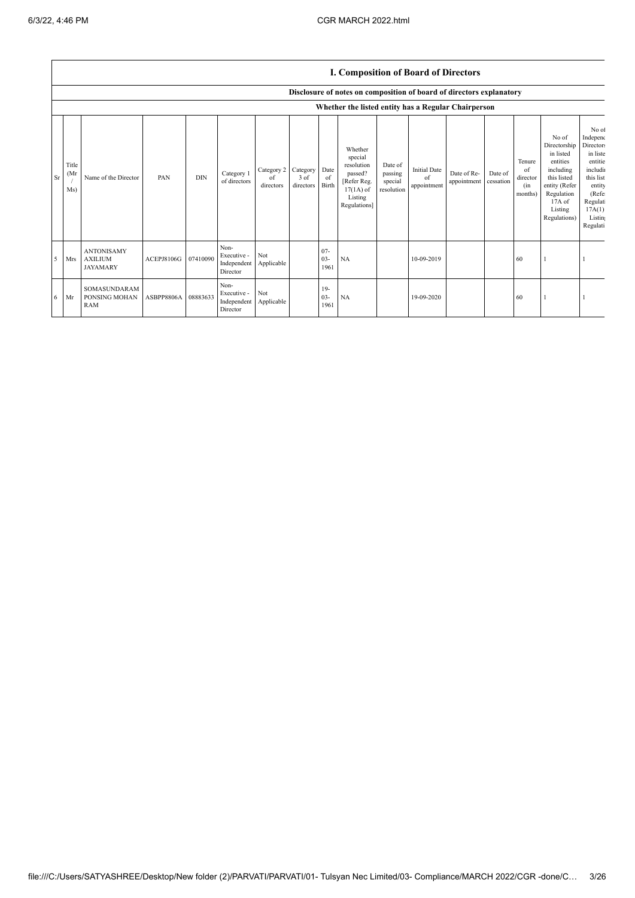$\overline{\phantom{a}}$ 

|           |                                                     | <b>1. Composition of Board of Directors</b>            |                     |            |                                                |                                        |                   |                          |                                                                                                      |                                             |                                          |                            |                      |                                            |                                                                                                                                                |                                                                                                                                                    |
|-----------|-----------------------------------------------------|--------------------------------------------------------|---------------------|------------|------------------------------------------------|----------------------------------------|-------------------|--------------------------|------------------------------------------------------------------------------------------------------|---------------------------------------------|------------------------------------------|----------------------------|----------------------|--------------------------------------------|------------------------------------------------------------------------------------------------------------------------------------------------|----------------------------------------------------------------------------------------------------------------------------------------------------|
|           |                                                     |                                                        |                     |            |                                                |                                        |                   |                          | Disclosure of notes on composition of board of directors explanatory                                 |                                             |                                          |                            |                      |                                            |                                                                                                                                                |                                                                                                                                                    |
|           | Whether the listed entity has a Regular Chairperson |                                                        |                     |            |                                                |                                        |                   |                          |                                                                                                      |                                             |                                          |                            |                      |                                            |                                                                                                                                                |                                                                                                                                                    |
| <b>Sr</b> | Title<br>(Mr)<br>Ms)                                | Name of the Director                                   | PAN                 | <b>DIN</b> | Category 1<br>of directors                     | Category 2 Category<br>of<br>directors | 3 of<br>directors | Date<br>of<br>Birth      | Whether<br>special<br>resolution<br>passed?<br>[Refer Reg.<br>$17(1A)$ of<br>Listing<br>Regulations] | Date of<br>passing<br>special<br>resolution | <b>Initial Date</b><br>of<br>appointment | Date of Re-<br>appointment | Date of<br>cessation | Tenure<br>of<br>director<br>(in<br>months) | No of<br>Directorship<br>in listed<br>entities<br>including<br>this listed<br>entity (Refer<br>Regulation<br>17A of<br>Listing<br>Regulations) | No of<br>Independ<br><b>Directors</b><br>in liste<br>entitie<br>includi<br>this list<br>entity<br>(Refe<br>Regulat<br>17A(1)<br>Listin<br>Regulati |
| 5         | Mrs                                                 | <b>ANTONISAMY</b><br><b>AXILIUM</b><br><b>JAYAMARY</b> | ACEPJ8106G 07410090 |            | Non-<br>Executive -<br>Independent<br>Director | Not<br>Applicable                      |                   | $07 -$<br>$03 -$<br>1961 | NA                                                                                                   |                                             | 10-09-2019                               |                            |                      | 60                                         |                                                                                                                                                |                                                                                                                                                    |
| 6         | Mr                                                  | SOMASUNDARAM<br>PONSING MOHAN<br><b>RAM</b>            | ASBPP8806A 08883633 |            | Non-<br>Executive -<br>Independent<br>Director | Not<br>Applicable                      |                   | $19-$<br>$03 -$<br>1961  | NA                                                                                                   |                                             | 19-09-2020                               |                            |                      | 60                                         |                                                                                                                                                |                                                                                                                                                    |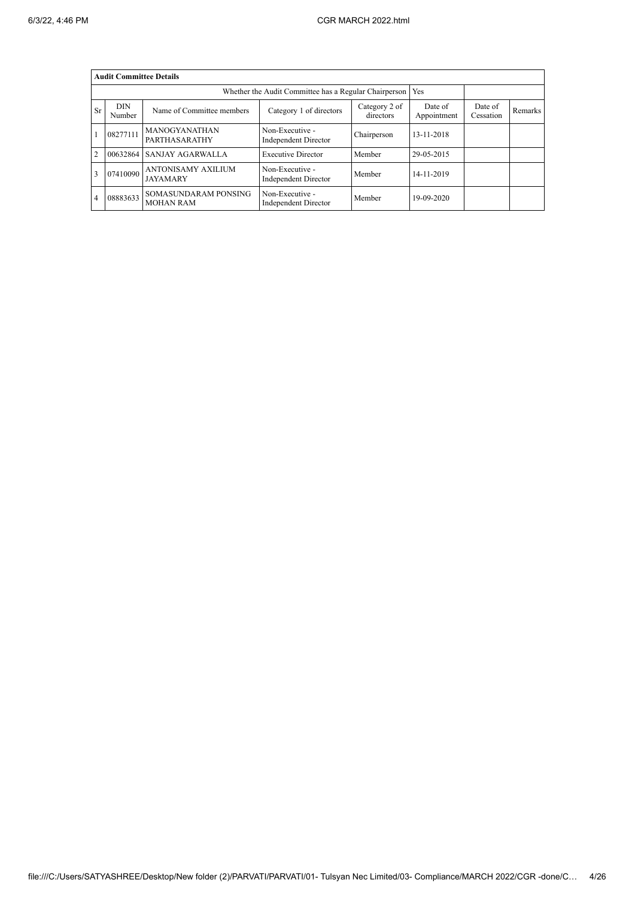|                | <b>Audit Committee Details</b>                                               |                                          |                                                       |                        |                      |         |  |  |  |  |
|----------------|------------------------------------------------------------------------------|------------------------------------------|-------------------------------------------------------|------------------------|----------------------|---------|--|--|--|--|
|                |                                                                              |                                          | Whether the Audit Committee has a Regular Chairperson | <b>Yes</b>             |                      |         |  |  |  |  |
| Sr             | <b>DIN</b><br>Name of Committee members<br>Category 1 of directors<br>Number |                                          | Category 2 of<br>directors                            | Date of<br>Appointment | Date of<br>Cessation | Remarks |  |  |  |  |
|                | 08277111                                                                     | <b>MANOGYANATHAN</b><br>PARTHASARATHY    | Non-Executive -<br>Independent Director               | Chairperson            | 13-11-2018           |         |  |  |  |  |
| $\overline{2}$ | 00632864                                                                     | <b>SANJAY AGARWALLA</b>                  | <b>Executive Director</b>                             | Member                 | 29-05-2015           |         |  |  |  |  |
|                | 07410090                                                                     | ANTONISAMY AXILIUM<br><b>JAYAMARY</b>    | Non-Executive -<br>Independent Director               | Member                 | 14-11-2019           |         |  |  |  |  |
| 4              | 08883633                                                                     | SOMASUNDARAM PONSING<br><b>MOHAN RAM</b> | Non-Executive -<br>Independent Director               | Member                 | 19-09-2020           |         |  |  |  |  |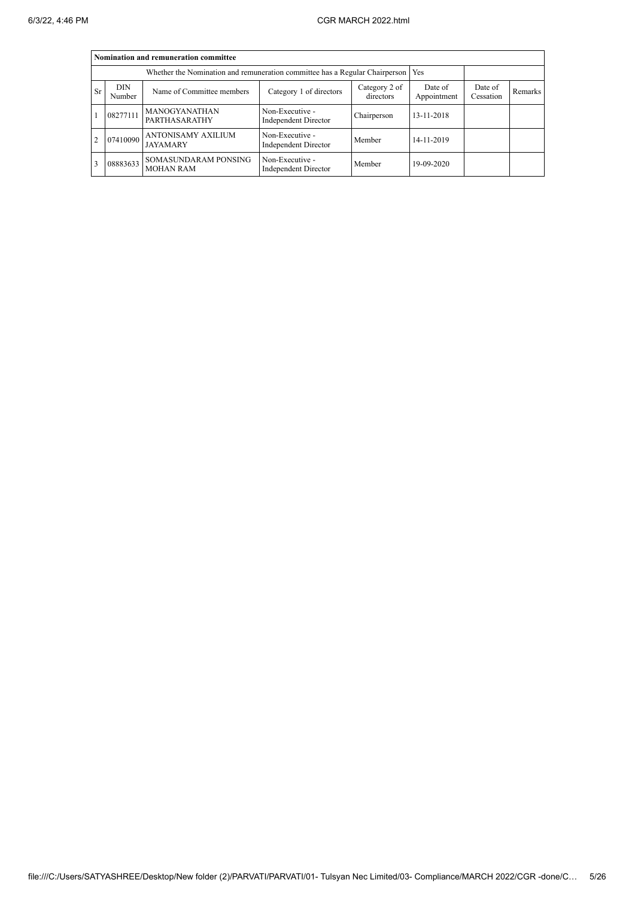|           | Nomination and remuneration committee |                                                                                   |                                                |                      |            |  |  |  |  |  |
|-----------|---------------------------------------|-----------------------------------------------------------------------------------|------------------------------------------------|----------------------|------------|--|--|--|--|--|
|           |                                       | Whether the Nomination and remuneration committee has a Regular Chairperson   Yes |                                                |                      |            |  |  |  |  |  |
| <b>Sr</b> | <b>DIN</b><br>Number                  | Name of Committee members                                                         | Date of<br>Appointment                         | Date of<br>Cessation | Remarks    |  |  |  |  |  |
|           | 08277111                              | MANOGYANATHAN<br>PARTHASARATHY                                                    | Non-Executive -<br>Independent Director        | Chairperson          | 13-11-2018 |  |  |  |  |  |
| 2         | 07410090                              | ANTONISAMY AXILIUM<br><b>JAYAMARY</b>                                             | Non-Executive -<br><b>Independent Director</b> | Member               | 14-11-2019 |  |  |  |  |  |
| 3         | 08883633                              | SOMASUNDARAM PONSING<br><b>MOHAN RAM</b>                                          | Non-Executive -<br>Independent Director        | Member               | 19-09-2020 |  |  |  |  |  |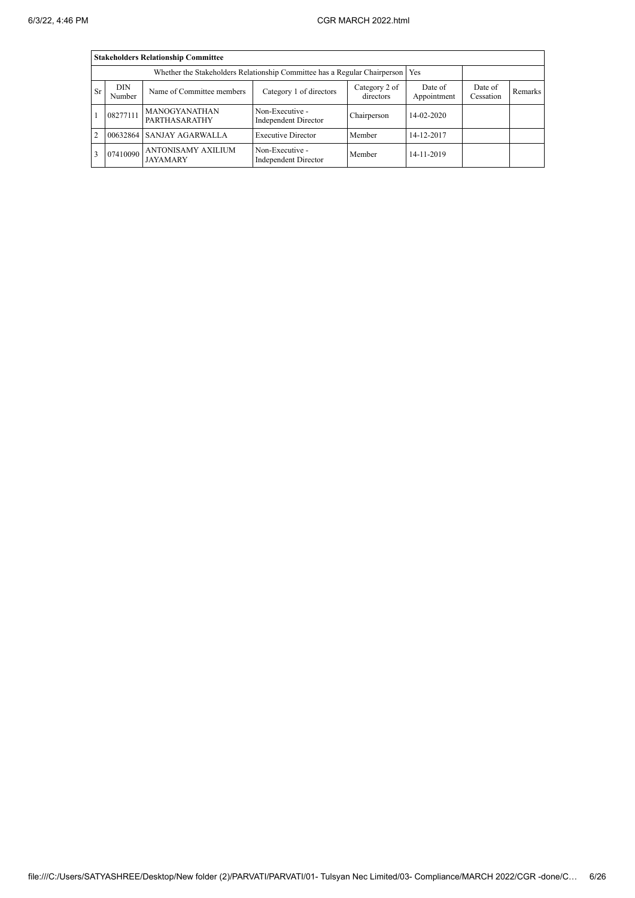|               | <b>Stakeholders Relationship Committee</b> |                                                                                    |                                                |             |            |                      |         |  |  |  |
|---------------|--------------------------------------------|------------------------------------------------------------------------------------|------------------------------------------------|-------------|------------|----------------------|---------|--|--|--|
|               |                                            | Whether the Stakeholders Relationship Committee has a Regular Chairperson   Yes    |                                                |             |            |                      |         |  |  |  |
| <b>Sr</b>     | DIN.<br>Number                             | Category 2 of<br>Category 1 of directors<br>Name of Committee members<br>directors |                                                |             |            | Date of<br>Cessation | Remarks |  |  |  |
|               | 08277111                                   | MANOGYANATHAN<br>PARTHASARATHY                                                     | Non-Executive -<br>Independent Director        | Chairperson | 14-02-2020 |                      |         |  |  |  |
| $\mathcal{D}$ | 00632864                                   | <b>SANJAY AGARWALLA</b>                                                            | <b>Executive Director</b>                      | Member      | 14-12-2017 |                      |         |  |  |  |
|               | 07410090                                   | ANTONISAMY AXILIUM<br><b>JAYAMARY</b>                                              | Non-Executive -<br><b>Independent Director</b> | Member      | 14-11-2019 |                      |         |  |  |  |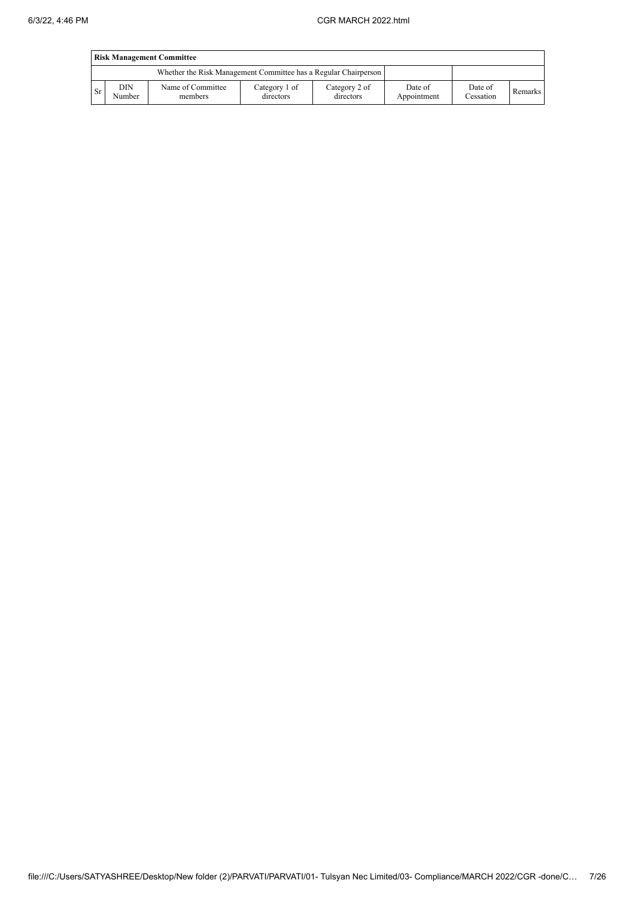|           | <b>Risk Management Committee</b> |                                                                 |                            |                            |                        |                      |         |  |  |
|-----------|----------------------------------|-----------------------------------------------------------------|----------------------------|----------------------------|------------------------|----------------------|---------|--|--|
|           |                                  | Whether the Risk Management Committee has a Regular Chairperson |                            |                            |                        |                      |         |  |  |
| <b>Sr</b> | DIN<br>Number                    | Name of Committee<br>members                                    | Category 1 of<br>directors | Category 2 of<br>directors | Date of<br>Appointment | Date of<br>Cessation | Remarks |  |  |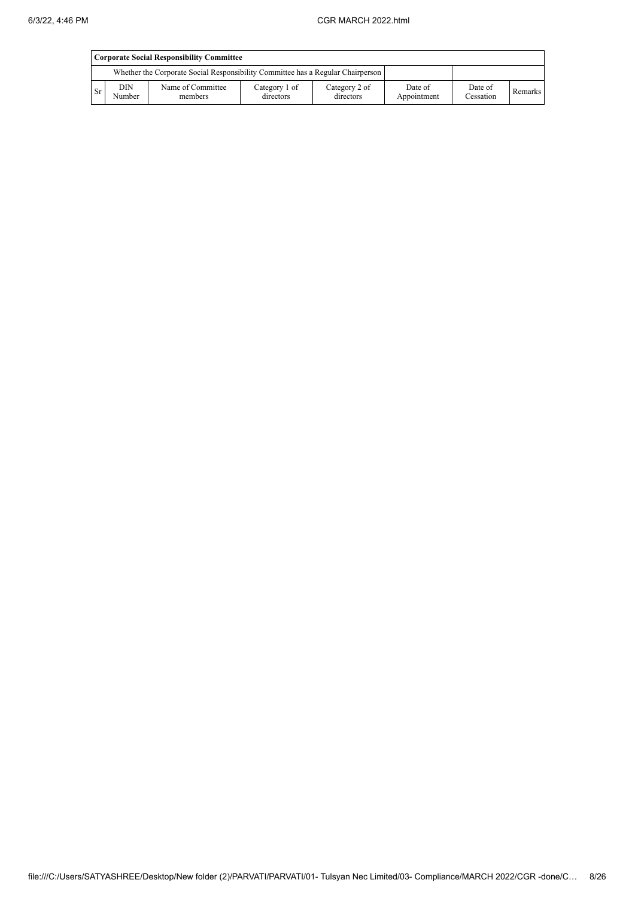|           | Corporate Social Responsibility Committee |                                                                                 |                            |                            |                        |                      |         |  |  |
|-----------|-------------------------------------------|---------------------------------------------------------------------------------|----------------------------|----------------------------|------------------------|----------------------|---------|--|--|
|           |                                           | Whether the Corporate Social Responsibility Committee has a Regular Chairperson |                            |                            |                        |                      |         |  |  |
| <b>Sr</b> | DIN<br>Number                             | Name of Committee<br>members                                                    | Category 1 of<br>directors | Category 2 of<br>directors | Date of<br>Appointment | Date of<br>Cessation | Remarks |  |  |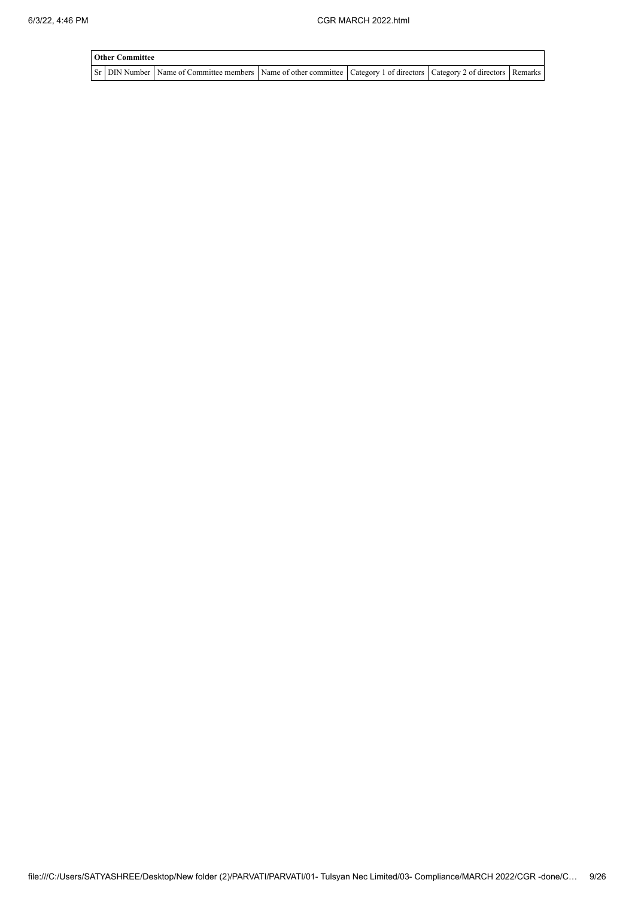| <b>Other Committee</b> |                                                                                                                                                  |  |  |
|------------------------|--------------------------------------------------------------------------------------------------------------------------------------------------|--|--|
|                        | Sr   DIN Number   Name of Committee members   Name of other committee   Category 1 of directors   Category 2 of directors   Remarks <sup> </sup> |  |  |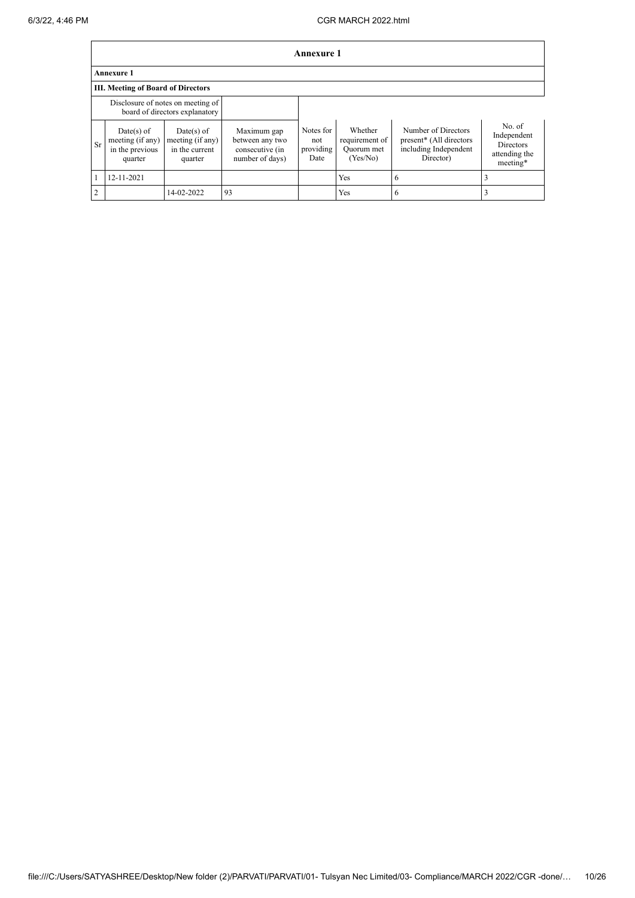|               | Annexure 1                                                          |                                                               |                                                                      |                                       |                                                     |                                                                                      |                                                                        |  |  |
|---------------|---------------------------------------------------------------------|---------------------------------------------------------------|----------------------------------------------------------------------|---------------------------------------|-----------------------------------------------------|--------------------------------------------------------------------------------------|------------------------------------------------------------------------|--|--|
|               | <b>Annexure 1</b>                                                   |                                                               |                                                                      |                                       |                                                     |                                                                                      |                                                                        |  |  |
|               | III. Meeting of Board of Directors                                  |                                                               |                                                                      |                                       |                                                     |                                                                                      |                                                                        |  |  |
|               | Disclosure of notes on meeting of<br>board of directors explanatory |                                                               |                                                                      |                                       |                                                     |                                                                                      |                                                                        |  |  |
| Sr            | Date(s) of<br>meeting (if any)<br>in the previous<br>quarter        | $Date(s)$ of<br>meeting (if any)<br>in the current<br>quarter | Maximum gap<br>between any two<br>consecutive (in<br>number of days) | Notes for<br>not<br>providing<br>Date | Whether<br>requirement of<br>Quorum met<br>(Yes/No) | Number of Directors<br>present* (All directors<br>including Independent<br>Director) | No. of<br>Independent<br><b>Directors</b><br>attending the<br>meeting* |  |  |
|               | 12-11-2021                                                          |                                                               |                                                                      |                                       | Yes                                                 | 6                                                                                    |                                                                        |  |  |
| $\mathcal{D}$ |                                                                     | 14-02-2022                                                    | 93                                                                   |                                       | Yes                                                 | 6                                                                                    |                                                                        |  |  |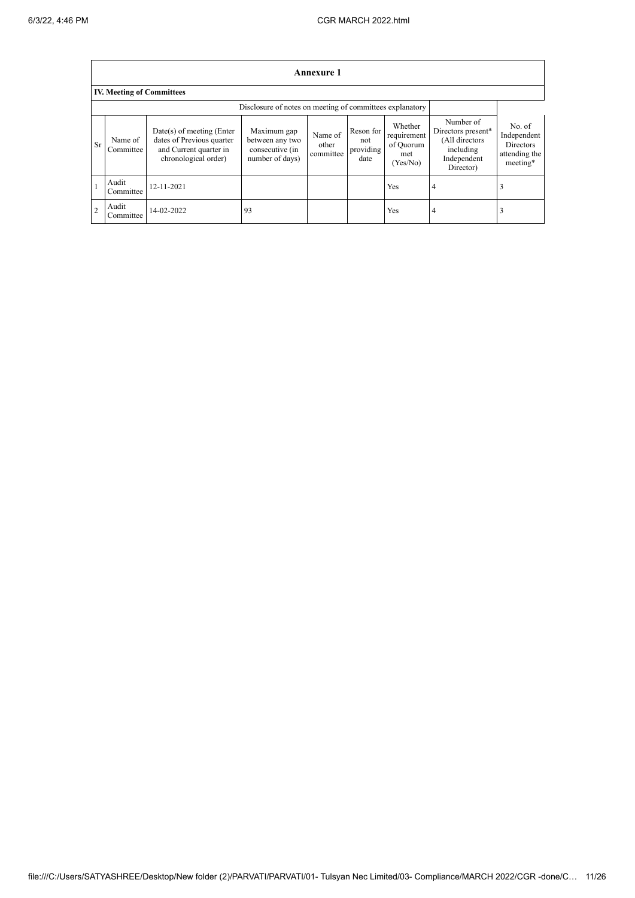$\mathbf{r}$ 

|                | <b>Annexure 1</b>                                        |                                                                                                            |                                                                      |                               |                                       |                                                        |                                                                                            |                                                                        |  |  |
|----------------|----------------------------------------------------------|------------------------------------------------------------------------------------------------------------|----------------------------------------------------------------------|-------------------------------|---------------------------------------|--------------------------------------------------------|--------------------------------------------------------------------------------------------|------------------------------------------------------------------------|--|--|
|                | <b>IV. Meeting of Committees</b>                         |                                                                                                            |                                                                      |                               |                                       |                                                        |                                                                                            |                                                                        |  |  |
|                | Disclosure of notes on meeting of committees explanatory |                                                                                                            |                                                                      |                               |                                       |                                                        |                                                                                            |                                                                        |  |  |
| <b>Sr</b>      | Name of<br>Committee                                     | $Date(s)$ of meeting (Enter<br>dates of Previous quarter<br>and Current quarter in<br>chronological order) | Maximum gap<br>between any two<br>consecutive (in<br>number of days) | Name of<br>other<br>committee | Reson for<br>not<br>providing<br>date | Whether<br>requirement<br>of Quorum<br>met<br>(Yes/No) | Number of<br>Directors present*<br>(All directors<br>including<br>Independent<br>Director) | No. of<br>Independent<br><b>Directors</b><br>attending the<br>meeting* |  |  |
|                | Audit<br>Committee                                       | 12-11-2021                                                                                                 |                                                                      |                               |                                       | Yes                                                    | 4                                                                                          | 3                                                                      |  |  |
| $\overline{2}$ | Audit<br>Committee                                       | 14-02-2022                                                                                                 | 93                                                                   |                               |                                       | Yes                                                    | 4                                                                                          | 3                                                                      |  |  |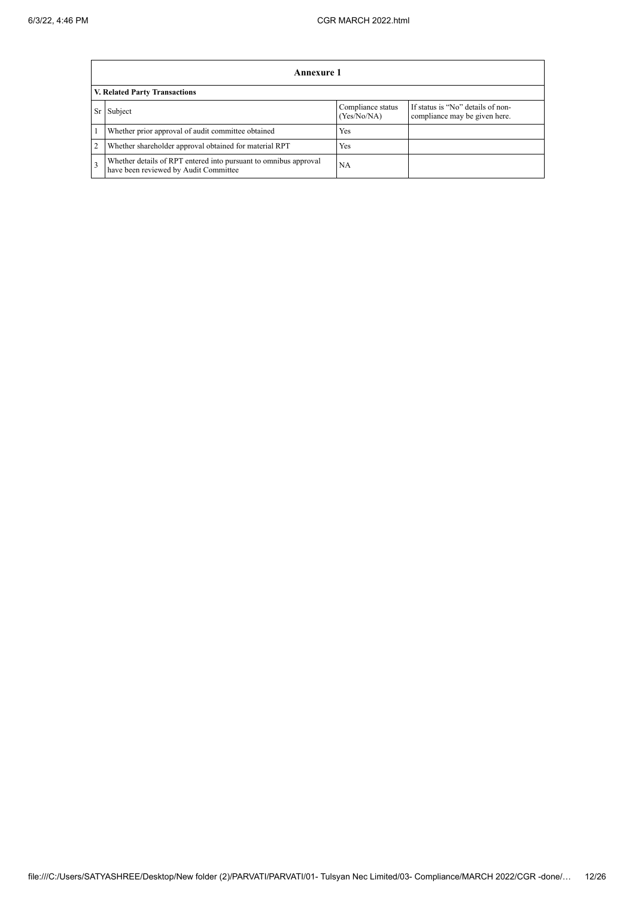|                | Annexure 1                                                                                                |                                  |                                                                    |  |  |  |  |  |
|----------------|-----------------------------------------------------------------------------------------------------------|----------------------------------|--------------------------------------------------------------------|--|--|--|--|--|
|                | <b>V. Related Party Transactions</b>                                                                      |                                  |                                                                    |  |  |  |  |  |
| Sr             | Subject                                                                                                   | Compliance status<br>(Yes/No/NA) | If status is "No" details of non-<br>compliance may be given here. |  |  |  |  |  |
|                | Whether prior approval of audit committee obtained                                                        | <b>Yes</b>                       |                                                                    |  |  |  |  |  |
| $\overline{2}$ | Whether shareholder approval obtained for material RPT                                                    | Yes                              |                                                                    |  |  |  |  |  |
| 3              | Whether details of RPT entered into pursuant to omnibus approval<br>have been reviewed by Audit Committee | <b>NA</b>                        |                                                                    |  |  |  |  |  |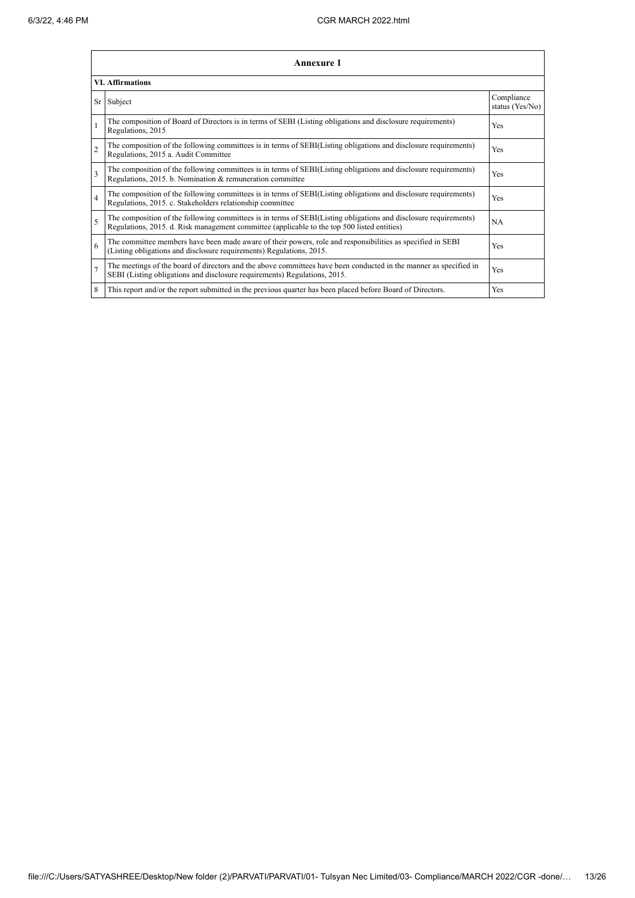|                         | <b>Annexure 1</b>                                                                                                                                                                                               |                               |  |  |  |
|-------------------------|-----------------------------------------------------------------------------------------------------------------------------------------------------------------------------------------------------------------|-------------------------------|--|--|--|
|                         | <b>VI.</b> Affirmations                                                                                                                                                                                         |                               |  |  |  |
|                         | Sr Subject                                                                                                                                                                                                      | Compliance<br>status (Yes/No) |  |  |  |
|                         | The composition of Board of Directors is in terms of SEBI (Listing obligations and disclosure requirements)<br>Regulations, 2015                                                                                | Yes                           |  |  |  |
| $\overline{2}$          | The composition of the following committees is in terms of SEBI(Listing obligations and disclosure requirements)<br>Regulations, 2015 a. Audit Committee                                                        | Yes                           |  |  |  |
| 3                       | The composition of the following committees is in terms of SEBI(Listing obligations and disclosure requirements)<br>Regulations, 2015. b. Nomination & remuneration committee                                   | Yes                           |  |  |  |
| $\overline{\mathbf{4}}$ | The composition of the following committees is in terms of SEBI(Listing obligations and disclosure requirements)<br>Regulations, 2015. c. Stakeholders relationship committee                                   | Yes                           |  |  |  |
| 5                       | The composition of the following committees is in terms of SEBI(Listing obligations and disclosure requirements)<br>Regulations, 2015. d. Risk management committee (applicable to the top 500 listed entities) | NA                            |  |  |  |
| 6                       | The committee members have been made aware of their powers, role and responsibilities as specified in SEBI<br>(Listing obligations and disclosure requirements) Regulations, 2015.                              | Yes                           |  |  |  |
| $\overline{7}$          | The meetings of the board of directors and the above committees have been conducted in the manner as specified in<br>SEBI (Listing obligations and disclosure requirements) Regulations, 2015.                  | Yes                           |  |  |  |
| 8                       | This report and/or the report submitted in the previous quarter has been placed before Board of Directors.                                                                                                      | Yes                           |  |  |  |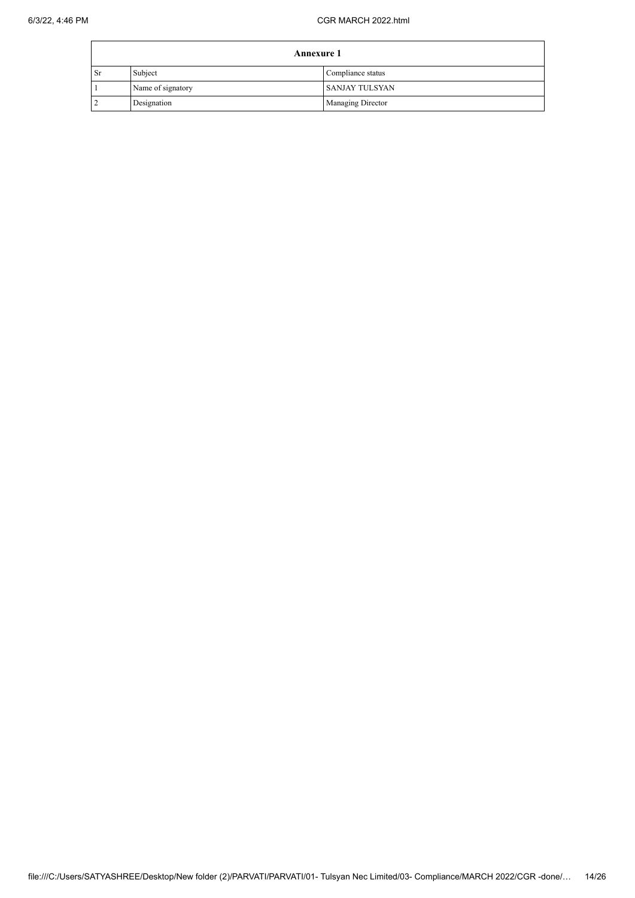|               | <b>Annexure 1</b> |                          |  |  |  |
|---------------|-------------------|--------------------------|--|--|--|
| <sub>Sr</sub> | Subject           | Compliance status        |  |  |  |
|               | Name of signatory | I SANJAY TULSYAN         |  |  |  |
|               | Designation       | <b>Managing Director</b> |  |  |  |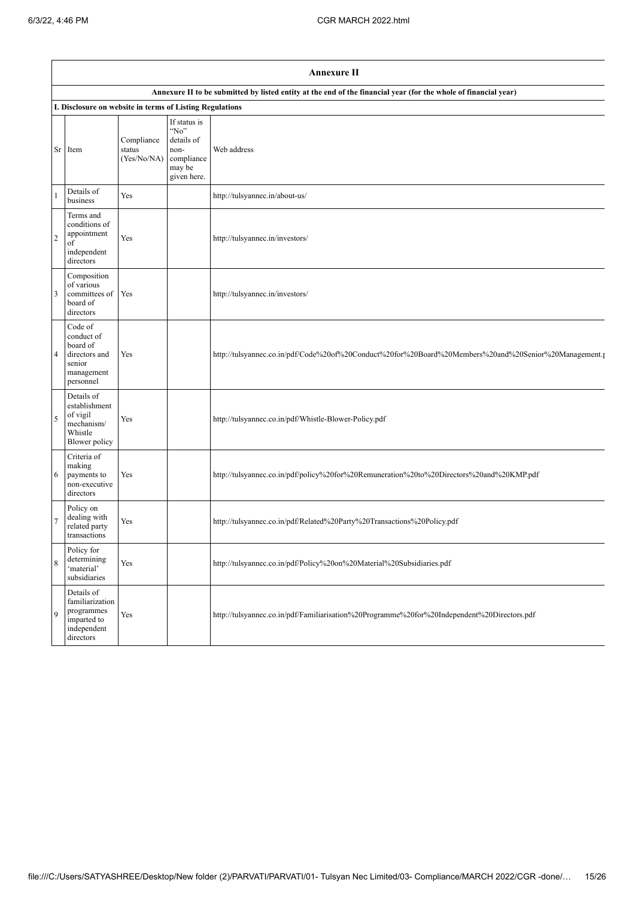|                | <b>Annexure II</b>                                                                      |                                     |                                                                                   |                                                                                                                 |  |
|----------------|-----------------------------------------------------------------------------------------|-------------------------------------|-----------------------------------------------------------------------------------|-----------------------------------------------------------------------------------------------------------------|--|
|                |                                                                                         |                                     |                                                                                   | Annexure II to be submitted by listed entity at the end of the financial year (for the whole of financial year) |  |
|                | I. Disclosure on website in terms of Listing Regulations                                |                                     |                                                                                   |                                                                                                                 |  |
| Sr             | Item                                                                                    | Compliance<br>status<br>(Yes/No/NA) | If status is<br>"No"<br>details of<br>non-<br>compliance<br>may be<br>given here. | Web address                                                                                                     |  |
| 1              | Details of<br>business                                                                  | Yes                                 |                                                                                   | http://tulsyannec.in/about-us/                                                                                  |  |
| $\overline{2}$ | Terms and<br>conditions of<br>appointment<br>of<br>independent<br>directors             | Yes                                 |                                                                                   | http://tulsyannec.in/investors/                                                                                 |  |
| 3              | Composition<br>of various<br>committees of<br>board of<br>directors                     | Yes                                 |                                                                                   | http://tulsyannec.in/investors/                                                                                 |  |
| 4              | Code of<br>conduct of<br>board of<br>directors and<br>senior<br>management<br>personnel | Yes                                 |                                                                                   | http://tulsyannec.co.in/pdf/Code%20of%20Conduct%20for%20Board%20Members%20and%20Senior%20Management.r           |  |
| 5              | Details of<br>establishment<br>of vigil<br>mechanism/<br>Whistle<br>Blower policy       | Yes                                 |                                                                                   | http://tulsyannec.co.in/pdf/Whistle-Blower-Policy.pdf                                                           |  |
| 6              | Criteria of<br>making<br>payments to<br>non-executive<br>directors                      | Yes                                 |                                                                                   | http://tulsyannec.co.in/pdf/policy%20for%20Remuneration%20to%20Directors%20and%20KMP.pdf                        |  |
|                | Policy on<br>dealing with<br>related party<br>transactions                              | Yes                                 |                                                                                   | http://tulsyannec.co.in/pdf/Related%20Party%20Transactions%20Policy.pdf                                         |  |
| 8              | Policy for<br>determining<br>'material'<br>subsidiaries                                 | Yes                                 |                                                                                   | http://tulsyannec.co.in/pdf/Policy%20on%20Material%20Subsidiaries.pdf                                           |  |
| 9              | Details of<br>familiarization<br>programmes<br>imparted to<br>independent<br>directors  | Yes                                 |                                                                                   | http://tulsyannec.co.in/pdf/Familiarisation%20Programme%20for%20Independent%20Directors.pdf                     |  |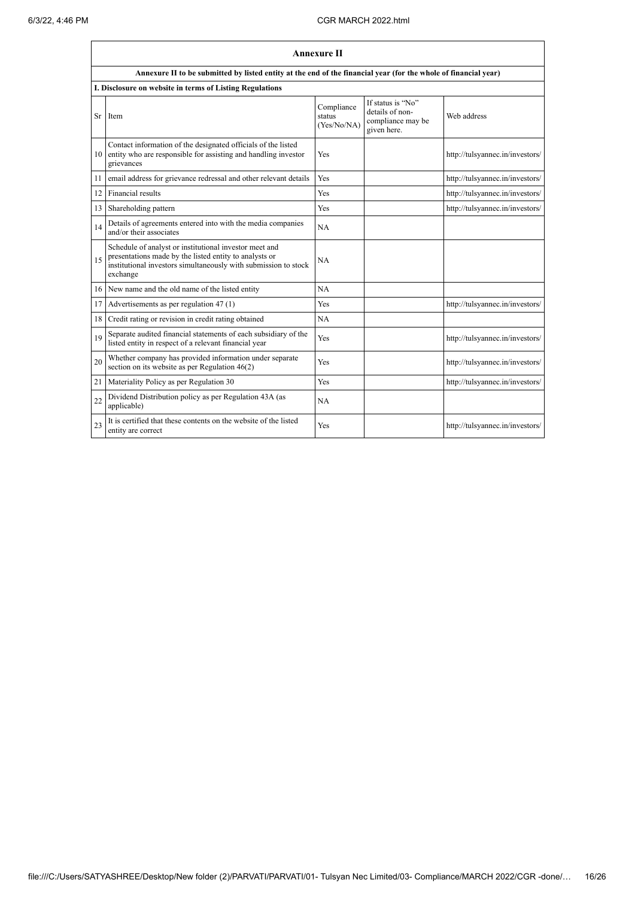|    | <b>Annexure II</b>                                                                                                                                                                              |                                     |                                                                          |                                 |  |  |
|----|-------------------------------------------------------------------------------------------------------------------------------------------------------------------------------------------------|-------------------------------------|--------------------------------------------------------------------------|---------------------------------|--|--|
|    | Annexure II to be submitted by listed entity at the end of the financial year (for the whole of financial year)                                                                                 |                                     |                                                                          |                                 |  |  |
|    | I. Disclosure on website in terms of Listing Regulations                                                                                                                                        |                                     |                                                                          |                                 |  |  |
| Sr | Item                                                                                                                                                                                            | Compliance<br>status<br>(Yes/No/NA) | If status is "No"<br>details of non-<br>compliance may be<br>given here. | Web address                     |  |  |
| 10 | Contact information of the designated officials of the listed<br>entity who are responsible for assisting and handling investor<br>grievances                                                   | Yes                                 |                                                                          | http://tulsyannec.in/investors/ |  |  |
| 11 | email address for grievance redressal and other relevant details                                                                                                                                | Yes                                 |                                                                          | http://tulsyannec.in/investors/ |  |  |
| 12 | Financial results                                                                                                                                                                               | Yes                                 |                                                                          | http://tulsyannec.in/investors/ |  |  |
| 13 | Shareholding pattern                                                                                                                                                                            | Yes                                 |                                                                          | http://tulsyannec.in/investors/ |  |  |
| 14 | Details of agreements entered into with the media companies<br>and/or their associates                                                                                                          | NA                                  |                                                                          |                                 |  |  |
| 15 | Schedule of analyst or institutional investor meet and<br>presentations made by the listed entity to analysts or<br>institutional investors simultaneously with submission to stock<br>exchange | <b>NA</b>                           |                                                                          |                                 |  |  |
| 16 | New name and the old name of the listed entity                                                                                                                                                  | <b>NA</b>                           |                                                                          |                                 |  |  |
| 17 | Advertisements as per regulation 47 (1)                                                                                                                                                         | Yes                                 |                                                                          | http://tulsyannec.in/investors/ |  |  |
| 18 | Credit rating or revision in credit rating obtained                                                                                                                                             | NA                                  |                                                                          |                                 |  |  |
| 19 | Separate audited financial statements of each subsidiary of the<br>listed entity in respect of a relevant financial year                                                                        | Yes                                 |                                                                          | http://tulsyannec.in/investors/ |  |  |
| 20 | Whether company has provided information under separate<br>section on its website as per Regulation $46(2)$                                                                                     | Yes                                 |                                                                          | http://tulsyannec.in/investors/ |  |  |
| 21 | Materiality Policy as per Regulation 30                                                                                                                                                         | Yes                                 |                                                                          | http://tulsyannec.in/investors/ |  |  |
| 22 | Dividend Distribution policy as per Regulation 43A (as<br>applicable)                                                                                                                           | <b>NA</b>                           |                                                                          |                                 |  |  |
| 23 | It is certified that these contents on the website of the listed<br>entity are correct                                                                                                          | Yes                                 |                                                                          | http://tulsyannec.in/investors/ |  |  |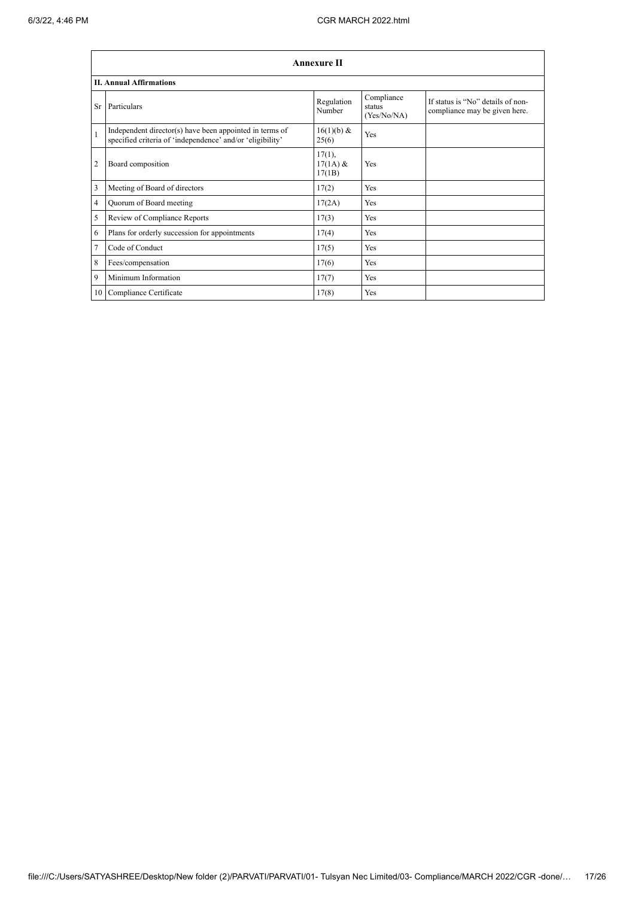|                | <b>Annexure II</b>                                                                                                   |                                |                                     |                                                                    |  |  |
|----------------|----------------------------------------------------------------------------------------------------------------------|--------------------------------|-------------------------------------|--------------------------------------------------------------------|--|--|
|                | <b>II. Annual Affirmations</b>                                                                                       |                                |                                     |                                                                    |  |  |
| Sr             | Particulars                                                                                                          | Regulation<br>Number           | Compliance<br>status<br>(Yes/No/NA) | If status is "No" details of non-<br>compliance may be given here. |  |  |
| $\mathbf{1}$   | Independent director(s) have been appointed in terms of<br>specified criteria of 'independence' and/or 'eligibility' | 16(1)(b) &<br>25(6)            | <b>Yes</b>                          |                                                                    |  |  |
| $\overline{2}$ | Board composition                                                                                                    | 17(1),<br>$17(1A)$ &<br>17(1B) | Yes                                 |                                                                    |  |  |
| 3              | Meeting of Board of directors                                                                                        | 17(2)                          | Yes                                 |                                                                    |  |  |
| 4              | Quorum of Board meeting                                                                                              | 17(2A)                         | Yes                                 |                                                                    |  |  |
| 5              | Review of Compliance Reports                                                                                         | 17(3)                          | Yes                                 |                                                                    |  |  |
| 6              | Plans for orderly succession for appointments                                                                        | 17(4)                          | Yes                                 |                                                                    |  |  |
| 7              | Code of Conduct                                                                                                      | 17(5)                          | Yes                                 |                                                                    |  |  |
| 8              | Fees/compensation                                                                                                    | 17(6)                          | Yes                                 |                                                                    |  |  |
| 9              | Minimum Information                                                                                                  | 17(7)                          | Yes                                 |                                                                    |  |  |
| 10             | Compliance Certificate                                                                                               | 17(8)                          | Yes                                 |                                                                    |  |  |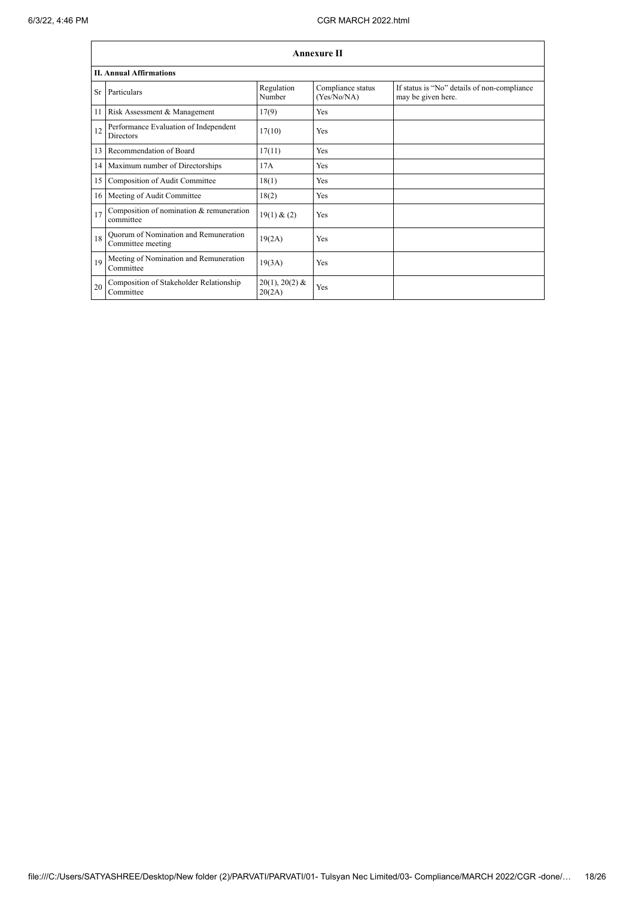|           | Annexure II                                                |                            |                                  |                                                                   |  |  |  |
|-----------|------------------------------------------------------------|----------------------------|----------------------------------|-------------------------------------------------------------------|--|--|--|
|           | <b>II. Annual Affirmations</b>                             |                            |                                  |                                                                   |  |  |  |
| <b>Sr</b> | Particulars                                                | Regulation<br>Number       | Compliance status<br>(Yes/No/NA) | If status is "No" details of non-compliance<br>may be given here. |  |  |  |
| 11        | Risk Assessment & Management                               | 17(9)                      | <b>Yes</b>                       |                                                                   |  |  |  |
| 12        | Performance Evaluation of Independent<br><b>Directors</b>  | 17(10)                     | <b>Yes</b>                       |                                                                   |  |  |  |
| 13        | Recommendation of Board                                    | 17(11)                     | <b>Yes</b>                       |                                                                   |  |  |  |
|           | 14 Maximum number of Directorships                         | 17A                        | <b>Yes</b>                       |                                                                   |  |  |  |
| 15        | Composition of Audit Committee                             | 18(1)                      | <b>Yes</b>                       |                                                                   |  |  |  |
|           | 16 Meeting of Audit Committee                              | 18(2)                      | Yes                              |                                                                   |  |  |  |
| 17        | Composition of nomination & remuneration<br>committee      | 19(1) & (2)                | <b>Yes</b>                       |                                                                   |  |  |  |
| 18        | Quorum of Nomination and Remuneration<br>Committee meeting | 19(2A)                     | <b>Yes</b>                       |                                                                   |  |  |  |
| 19        | Meeting of Nomination and Remuneration<br>Committee        | 19(3A)                     | Yes                              |                                                                   |  |  |  |
| 20        | Composition of Stakeholder Relationship<br>Committee       | $20(1), 20(2)$ &<br>20(2A) | Yes                              |                                                                   |  |  |  |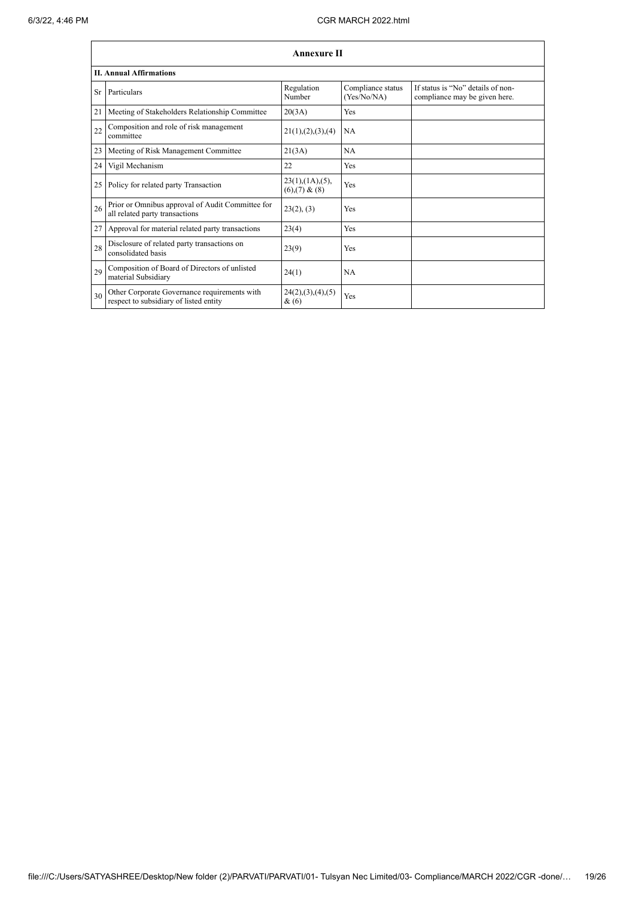|    | <b>Annexure II</b>                                                                     |                                                     |                                  |                                                                    |  |  |
|----|----------------------------------------------------------------------------------------|-----------------------------------------------------|----------------------------------|--------------------------------------------------------------------|--|--|
|    | <b>II. Annual Affirmations</b>                                                         |                                                     |                                  |                                                                    |  |  |
| Sr | Particulars                                                                            | Regulation<br>Number                                | Compliance status<br>(Yes/No/NA) | If status is "No" details of non-<br>compliance may be given here. |  |  |
| 21 | Meeting of Stakeholders Relationship Committee                                         | 20(3A)                                              | Yes                              |                                                                    |  |  |
| 22 | Composition and role of risk management<br>committee                                   | 21(1), (2), (3), (4)                                | NA                               |                                                                    |  |  |
| 23 | Meeting of Risk Management Committee                                                   | 21(3A)                                              | <b>NA</b>                        |                                                                    |  |  |
| 24 | Vigil Mechanism                                                                        | 22                                                  | Yes                              |                                                                    |  |  |
| 25 | Policy for related party Transaction                                                   | $23(1)$ , $(1A)$ , $(5)$ ,<br>$(6)$ , $(7)$ & $(8)$ | Yes                              |                                                                    |  |  |
| 26 | Prior or Omnibus approval of Audit Committee for<br>all related party transactions     | 23(2), (3)                                          | Yes                              |                                                                    |  |  |
| 27 | Approval for material related party transactions                                       | 23(4)                                               | Yes                              |                                                                    |  |  |
| 28 | Disclosure of related party transactions on<br>consolidated basis                      | 23(9)                                               | Yes                              |                                                                    |  |  |
| 29 | Composition of Board of Directors of unlisted<br>material Subsidiary                   | 24(1)                                               | NA                               |                                                                    |  |  |
| 30 | Other Corporate Governance requirements with<br>respect to subsidiary of listed entity | 24(2), (3), (4), (5)<br>&(6)                        | Yes                              |                                                                    |  |  |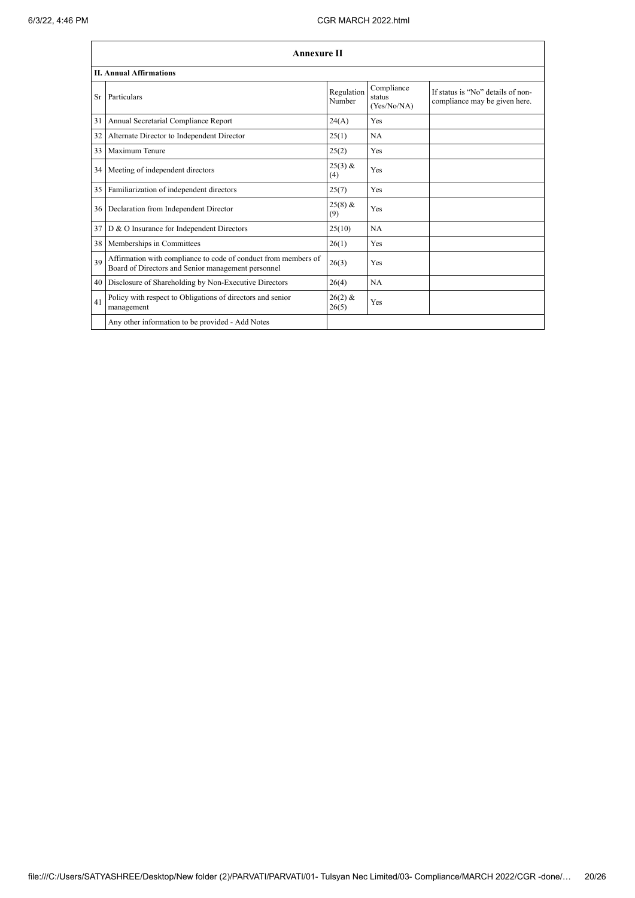|     | <b>Annexure II</b>                                                                                                   |                      |                                     |                                                                    |  |  |
|-----|----------------------------------------------------------------------------------------------------------------------|----------------------|-------------------------------------|--------------------------------------------------------------------|--|--|
|     | <b>II. Annual Affirmations</b>                                                                                       |                      |                                     |                                                                    |  |  |
| Sr. | Particulars                                                                                                          | Regulation<br>Number | Compliance<br>status<br>(Yes/No/NA) | If status is "No" details of non-<br>compliance may be given here. |  |  |
| 31  | Annual Secretarial Compliance Report                                                                                 | 24(A)                | <b>Yes</b>                          |                                                                    |  |  |
| 32  | Alternate Director to Independent Director                                                                           | 25(1)                | <b>NA</b>                           |                                                                    |  |  |
| 33  | Maximum Tenure                                                                                                       | 25(2)                | Yes                                 |                                                                    |  |  |
| 34  | Meeting of independent directors                                                                                     | $25(3)$ &<br>(4)     | Yes                                 |                                                                    |  |  |
| 35  | Familiarization of independent directors                                                                             | 25(7)                | <b>Yes</b>                          |                                                                    |  |  |
| 36  | Declaration from Independent Director                                                                                | $25(8)$ &<br>(9)     | Yes                                 |                                                                    |  |  |
| 37  | D & O Insurance for Independent Directors                                                                            | 25(10)               | NA                                  |                                                                    |  |  |
| 38  | Memberships in Committees                                                                                            | 26(1)                | <b>Yes</b>                          |                                                                    |  |  |
| 39  | Affirmation with compliance to code of conduct from members of<br>Board of Directors and Senior management personnel | 26(3)                | <b>Yes</b>                          |                                                                    |  |  |
| 40  | Disclosure of Shareholding by Non-Executive Directors                                                                | 26(4)                | NA                                  |                                                                    |  |  |
| 41  | Policy with respect to Obligations of directors and senior<br>management                                             | $26(2)$ &<br>26(5)   | Yes                                 |                                                                    |  |  |
|     | Any other information to be provided - Add Notes                                                                     |                      |                                     |                                                                    |  |  |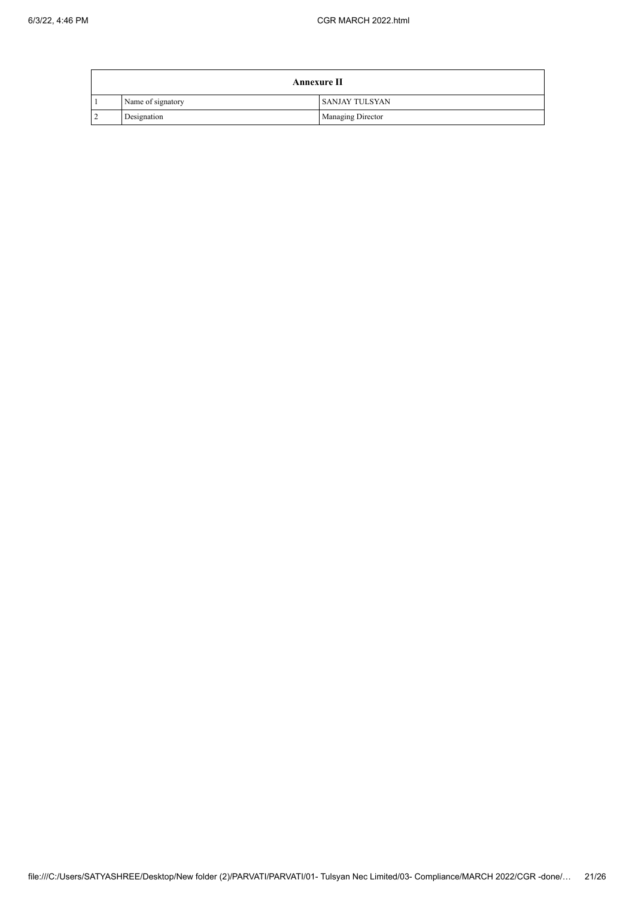|           | <b>Annexure II</b> |                       |  |  |  |  |
|-----------|--------------------|-----------------------|--|--|--|--|
|           | Name of signatory  | <b>SANJAY TULSYAN</b> |  |  |  |  |
| $\bigcap$ | Designation        | Managing Director     |  |  |  |  |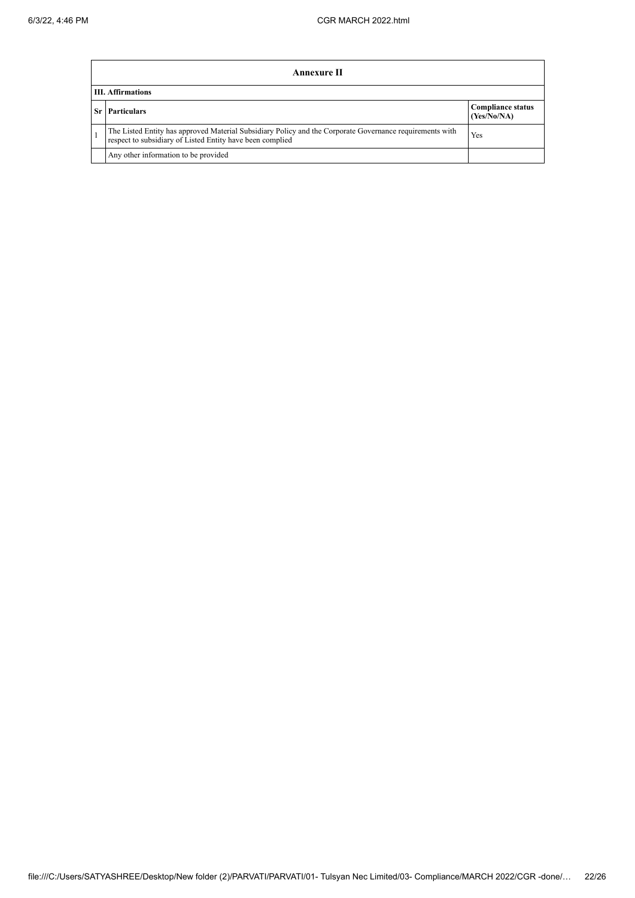| Annexure II                                                                                                                                                           |                                         |  |  |  |
|-----------------------------------------------------------------------------------------------------------------------------------------------------------------------|-----------------------------------------|--|--|--|
| <b>III.</b> Affirmations                                                                                                                                              |                                         |  |  |  |
| <b>Particulars</b>                                                                                                                                                    | <b>Compliance status</b><br>(Yes/No/NA) |  |  |  |
| The Listed Entity has approved Material Subsidiary Policy and the Corporate Governance requirements with<br>respect to subsidiary of Listed Entity have been complied | Yes                                     |  |  |  |
| Any other information to be provided                                                                                                                                  |                                         |  |  |  |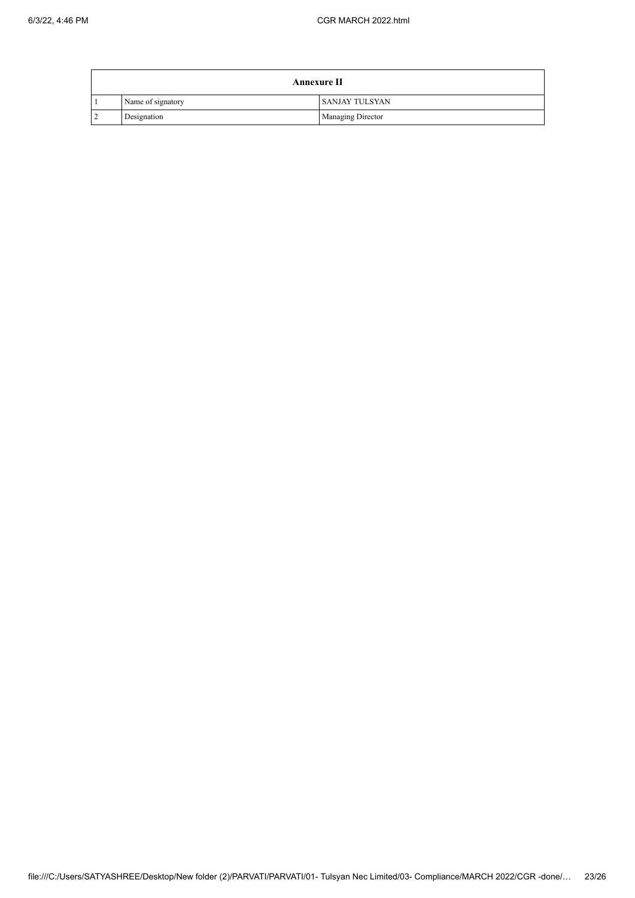|           | <b>Annexure II</b> |                       |  |  |  |  |
|-----------|--------------------|-----------------------|--|--|--|--|
|           | Name of signatory  | <b>SANJAY TULSYAN</b> |  |  |  |  |
| $\bigcap$ | Designation        | Managing Director     |  |  |  |  |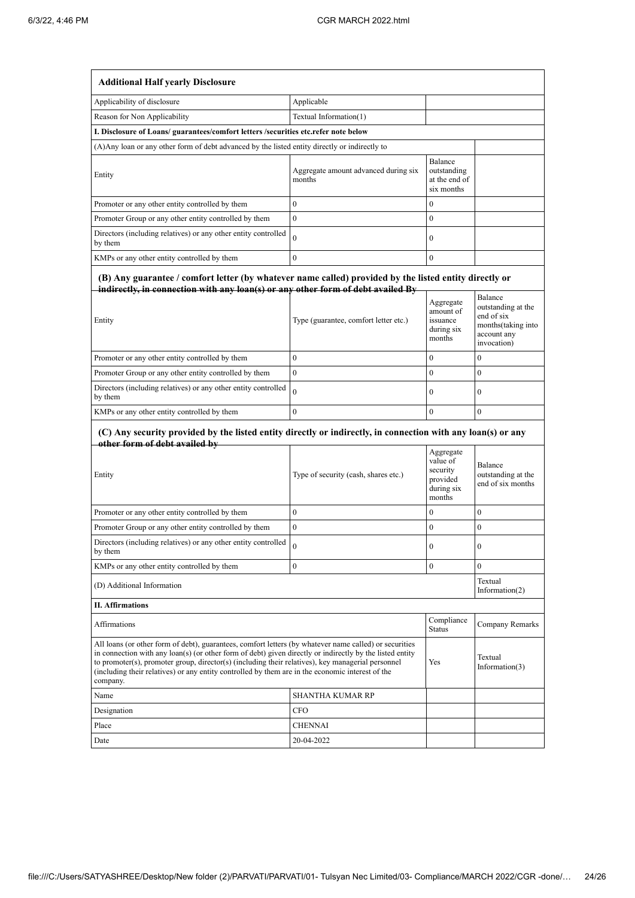| <b>Additional Half yearly Disclosure</b>                                                                                                                                                                                                                                                                                                                                                                                                |                                                |                                                                       |                                                                                                 |  |  |
|-----------------------------------------------------------------------------------------------------------------------------------------------------------------------------------------------------------------------------------------------------------------------------------------------------------------------------------------------------------------------------------------------------------------------------------------|------------------------------------------------|-----------------------------------------------------------------------|-------------------------------------------------------------------------------------------------|--|--|
| Applicability of disclosure                                                                                                                                                                                                                                                                                                                                                                                                             | Applicable                                     |                                                                       |                                                                                                 |  |  |
| Reason for Non Applicability                                                                                                                                                                                                                                                                                                                                                                                                            | Textual Information(1)                         |                                                                       |                                                                                                 |  |  |
| I. Disclosure of Loans/ guarantees/comfort letters /securities etc.refer note below                                                                                                                                                                                                                                                                                                                                                     |                                                |                                                                       |                                                                                                 |  |  |
| (A) Any loan or any other form of debt advanced by the listed entity directly or indirectly to                                                                                                                                                                                                                                                                                                                                          |                                                |                                                                       |                                                                                                 |  |  |
| Entity                                                                                                                                                                                                                                                                                                                                                                                                                                  | Aggregate amount advanced during six<br>months | Balance<br>outstanding<br>at the end of<br>six months                 |                                                                                                 |  |  |
| Promoter or any other entity controlled by them                                                                                                                                                                                                                                                                                                                                                                                         | $\bf{0}$                                       | $\mathbf{0}$                                                          |                                                                                                 |  |  |
| Promoter Group or any other entity controlled by them                                                                                                                                                                                                                                                                                                                                                                                   | $\mathbf{0}$                                   | $\mathbf{0}$                                                          |                                                                                                 |  |  |
| Directors (including relatives) or any other entity controlled<br>by them                                                                                                                                                                                                                                                                                                                                                               | $\theta$                                       | $\mathbf{0}$                                                          |                                                                                                 |  |  |
| KMPs or any other entity controlled by them                                                                                                                                                                                                                                                                                                                                                                                             | $\theta$                                       | $\boldsymbol{0}$                                                      |                                                                                                 |  |  |
| (B) Any guarantee / comfort letter (by whatever name called) provided by the listed entity directly or<br>indirectly, in connection with any loan(s) or any other form of debt availed By<br>Entity                                                                                                                                                                                                                                     | Type (guarantee, comfort letter etc.)          | Aggregate<br>amount of<br>issuance<br>during six<br>months            | Balance<br>outstanding at the<br>end of six<br>months(taking into<br>account any<br>invocation) |  |  |
| Promoter or any other entity controlled by them                                                                                                                                                                                                                                                                                                                                                                                         | $\theta$                                       | $\mathbf{0}$                                                          | $\bf{0}$                                                                                        |  |  |
| Promoter Group or any other entity controlled by them                                                                                                                                                                                                                                                                                                                                                                                   | $\mathbf{0}$                                   | $\mathbf{0}$                                                          | $\mathbf{0}$                                                                                    |  |  |
| Directors (including relatives) or any other entity controlled<br>by them                                                                                                                                                                                                                                                                                                                                                               | $\theta$                                       | $\mathbf{0}$                                                          | $\mathbf{0}$                                                                                    |  |  |
| KMPs or any other entity controlled by them                                                                                                                                                                                                                                                                                                                                                                                             | $\mathbf{0}$                                   | $\mathbf{0}$                                                          | $\bf{0}$                                                                                        |  |  |
| (C) Any security provided by the listed entity directly or indirectly, in connection with any loan(s) or any<br>other form of debt availed by                                                                                                                                                                                                                                                                                           |                                                |                                                                       |                                                                                                 |  |  |
| Entity                                                                                                                                                                                                                                                                                                                                                                                                                                  | Type of security (cash, shares etc.)           | Aggregate<br>value of<br>security<br>provided<br>during six<br>months | Balance<br>outstanding at the<br>end of six months                                              |  |  |
| Promoter or any other entity controlled by them                                                                                                                                                                                                                                                                                                                                                                                         | 0                                              | $\boldsymbol{0}$                                                      | $\boldsymbol{0}$                                                                                |  |  |
| Promoter Group or any other entity controlled by them                                                                                                                                                                                                                                                                                                                                                                                   | $\mathbf{0}$                                   | $\mathbf{0}$                                                          | $\mathbf{0}$                                                                                    |  |  |
| Directors (including relatives) or any other entity controlled<br>by them                                                                                                                                                                                                                                                                                                                                                               |                                                | $\boldsymbol{0}$                                                      | 0                                                                                               |  |  |
| KMPs or any other entity controlled by them                                                                                                                                                                                                                                                                                                                                                                                             | $\mathbf{0}$                                   | $\boldsymbol{0}$                                                      | $\mathbf{0}$                                                                                    |  |  |
| (D) Additional Information                                                                                                                                                                                                                                                                                                                                                                                                              |                                                |                                                                       | Textual<br>Information(2)                                                                       |  |  |
| <b>II.</b> Affirmations                                                                                                                                                                                                                                                                                                                                                                                                                 |                                                |                                                                       |                                                                                                 |  |  |
| Affirmations                                                                                                                                                                                                                                                                                                                                                                                                                            | Compliance<br><b>Status</b>                    | Company Remarks                                                       |                                                                                                 |  |  |
| All loans (or other form of debt), guarantees, comfort letters (by whatever name called) or securities<br>in connection with any loan(s) (or other form of debt) given directly or indirectly by the listed entity<br>to promoter(s), promoter group, director(s) (including their relatives), key managerial personnel<br>(including their relatives) or any entity controlled by them are in the economic interest of the<br>company. |                                                | Yes                                                                   | Textual<br>Information(3)                                                                       |  |  |
| Name                                                                                                                                                                                                                                                                                                                                                                                                                                    | SHANTHA KUMAR RP                               |                                                                       |                                                                                                 |  |  |
| Designation                                                                                                                                                                                                                                                                                                                                                                                                                             | CFO                                            |                                                                       |                                                                                                 |  |  |
| Place                                                                                                                                                                                                                                                                                                                                                                                                                                   | CHENNAI                                        |                                                                       |                                                                                                 |  |  |
| Date                                                                                                                                                                                                                                                                                                                                                                                                                                    | 20-04-2022                                     |                                                                       |                                                                                                 |  |  |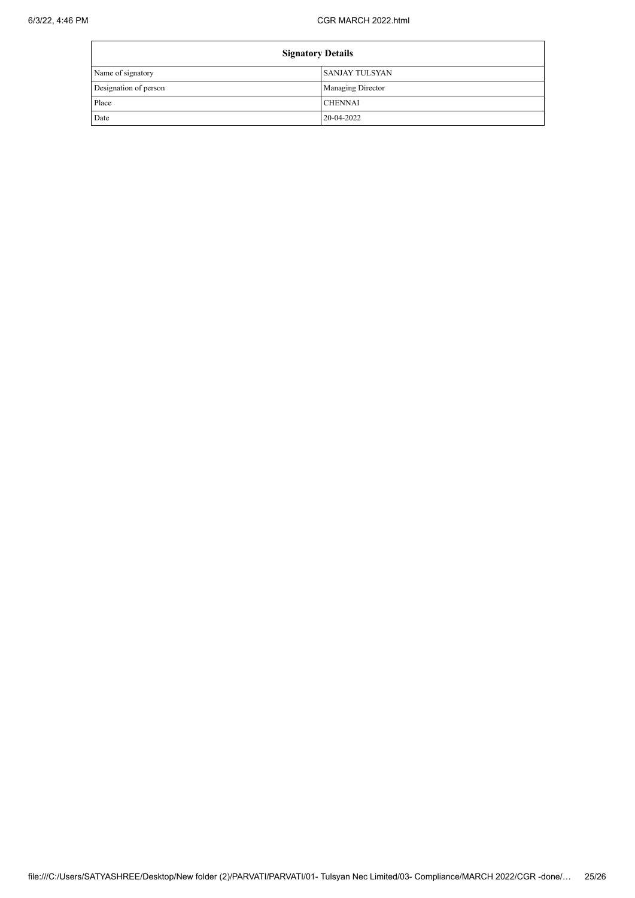| <b>Signatory Details</b> |                          |
|--------------------------|--------------------------|
| Name of signatory        | I SANJAY TULSYAN         |
| Designation of person    | <b>Managing Director</b> |
| Place                    | <b>CHENNAI</b>           |
| Date                     | 20-04-2022               |